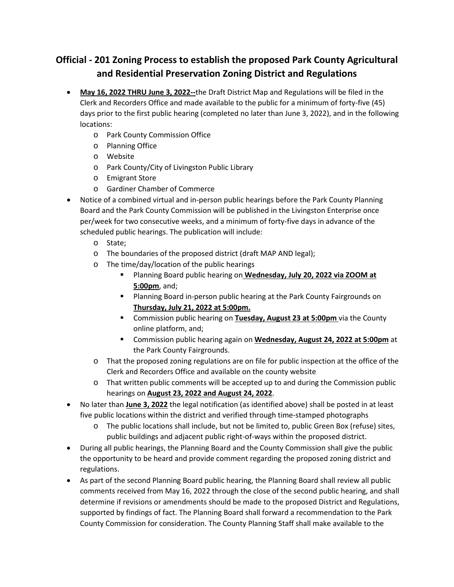## **Official - 201 Zoning Process to establish the proposed Park County Agricultural and Residential Preservation Zoning District and Regulations**

- **May 16, 2022 THRU June 3, 2022--**the Draft District Map and Regulations will be filed in the Clerk and Recorders Office and made available to the public for a minimum of forty-five (45) days prior to the first public hearing (completed no later than June 3, 2022), and in the following locations:
	- o Park County Commission Office
	- o Planning Office
	- o Website
	- o Park County/City of Livingston Public Library
	- o Emigrant Store
	- o Gardiner Chamber of Commerce
- Notice of a combined virtual and in-person public hearings before the Park County Planning Board and the Park County Commission will be published in the Livingston Enterprise once per/week for two consecutive weeks, and a minimum of forty-five days in advance of the scheduled public hearings. The publication will include:
	- o State;
	- o The boundaries of the proposed district (draft MAP AND legal);
	- o The time/day/location of the public hearings
		- Planning Board public hearing on **Wednesday, July 20, 2022 via ZOOM at 5:00pm**, and;
		- **Planning Board in-person public hearing at the Park County Fairgrounds on Thursday, July 21, 2022 at 5:00pm.**
		- **Commission public hearing on Tuesday, August 23 at 5:00pm via the County** online platform, and;
		- Commission public hearing again on **Wednesday, August 24, 2022 at 5:00pm** at the Park County Fairgrounds.
	- $\circ$  That the proposed zoning regulations are on file for public inspection at the office of the Clerk and Recorders Office and available on the county website
	- o That written public comments will be accepted up to and during the Commission public hearings on **August 23, 2022 and August 24, 2022**.
- No later than **June 3, 2022** the legal notification (as identified above) shall be posted in at least five public locations within the district and verified through time-stamped photographs
	- o The public locations shall include, but not be limited to, public Green Box (refuse) sites, public buildings and adjacent public right-of-ways within the proposed district.
- During all public hearings, the Planning Board and the County Commission shall give the public the opportunity to be heard and provide comment regarding the proposed zoning district and regulations.
- As part of the second Planning Board public hearing, the Planning Board shall review all public comments received from May 16, 2022 through the close of the second public hearing, and shall determine if revisions or amendments should be made to the proposed District and Regulations, supported by findings of fact. The Planning Board shall forward a recommendation to the Park County Commission for consideration. The County Planning Staff shall make available to the